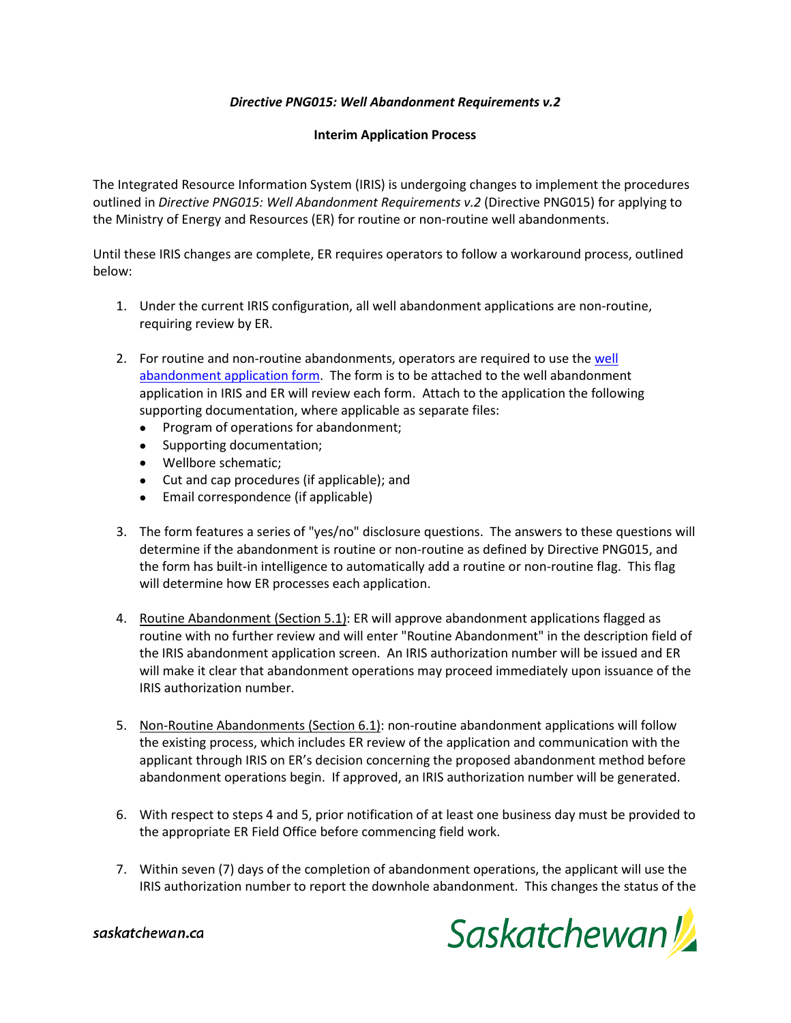## *Directive PNG015: Well Abandonment Requirements v.2*

## **Interim Application Process**

The Integrated Resource Information System (IRIS) is undergoing changes to implement the procedures outlined in *Directive PNG015: Well Abandonment Requirements v.2* (Directive PNG015) for applying to the Ministry of Energy and Resources (ER) for routine or non-routine well abandonments.

Until these IRIS changes are complete, ER requires operators to follow a workaround process, outlined below:

- 1. Under the current IRIS configuration, all well abandonment applications are non-routine, requiring review by ER.
- 2. For routine and non-routine abandonments, operators are required to use the well [abandonment application form.](https://publications.saskatchewan.ca/api/v1/products/77775/formats/87190/download) The form is to be attached to the well abandonment application in IRIS and ER will review each form. Attach to the application the following supporting documentation, where applicable as separate files:
	- Program of operations for abandonment;
	- Supporting documentation;
	- Wellbore schematic;
	- Cut and cap procedures (if applicable); and
	- Email correspondence (if applicable)
- 3. The form features a series of "yes/no" disclosure questions. The answers to these questions will determine if the abandonment is routine or non-routine as defined by Directive PNG015, and the form has built-in intelligence to automatically add a routine or non-routine flag. This flag will determine how ER processes each application.
- 4. Routine Abandonment (Section 5.1): ER will approve abandonment applications flagged as routine with no further review and will enter "Routine Abandonment" in the description field of the IRIS abandonment application screen. An IRIS authorization number will be issued and ER will make it clear that abandonment operations may proceed immediately upon issuance of the IRIS authorization number.
- 5. Non-Routine Abandonments (Section 6.1): non-routine abandonment applications will follow the existing process, which includes ER review of the application and communication with the applicant through IRIS on ER's decision concerning the proposed abandonment method before abandonment operations begin. If approved, an IRIS authorization number will be generated.
- 6. With respect to steps 4 and 5, prior notification of at least one business day must be provided to the appropriate ER Field Office before commencing field work.
- 7. Within seven (7) days of the completion of abandonment operations, the applicant will use the IRIS authorization number to report the downhole abandonment. This changes the status of the



saskatchewan.ca